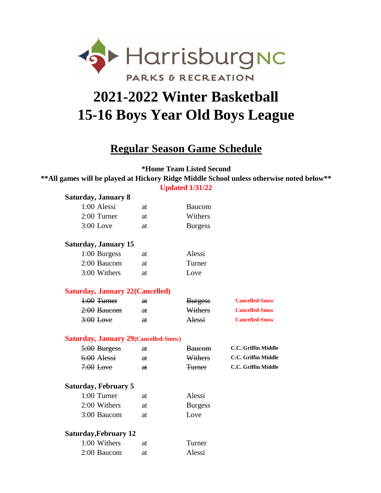

## **15-16 Boys Year Old Boys League 2021-2022 Winter Basketball**

## **Regular Season Game Schedule**

**\*Home Team Listed Second**

**Updated 1/31/22 \*\*All games will be played at Hickory Ridge Middle School unless otherwise noted below\*\***

| <b>Saturday, January 8</b>                   |    |                |                            |
|----------------------------------------------|----|----------------|----------------------------|
| 1:00 Alessi                                  | at | <b>Baucom</b>  |                            |
| 2:00 Turner                                  | at | Withers        |                            |
| 3:00 Love                                    | at | <b>Burgess</b> |                            |
| <b>Saturday, January 15</b>                  |    |                |                            |
| 1:00 Burgess                                 | at | Alessi         |                            |
| 2:00 Baucom                                  | at | Turner         |                            |
| 3:00 Withers                                 | at | Love           |                            |
| <b>Saturday, January 22 (Cancelled)</b>      |    |                |                            |
| $4:00$ Turner                                | aŧ | <b>Burgess</b> | <b>Cancelled-Snow</b>      |
| 2:00 Baucom                                  | at | Withers        | <b>Cancelled-Snow</b>      |
| $3:00$ Love                                  | at | Alessi         | <b>Cancelled-Snow</b>      |
| <b>Saturday, January 29 (Cancelled-Snow)</b> |    |                |                            |
| $5:00$ Burgess                               | at | <b>Baucom</b>  | <b>C.C. Griffin Middle</b> |
| $6:00$ Alessi                                | a  | Withers        | C.C. Griffin Middle        |
| $7:00$ Love                                  | at | <b>Turner</b>  | C.C. Griffin Middle        |
| <b>Saturday, February 5</b>                  |    |                |                            |
| $1:00$ Turner                                | at | Alessi         |                            |
| 2:00 Withers                                 | at | <b>Burgess</b> |                            |
| 3:00 Baucom                                  | at | Love           |                            |
| <b>Saturday, February 12</b>                 |    |                |                            |
| 1:00 Withers                                 | at | Turner         |                            |
| 2:00 Baucom                                  | at | Alessi         |                            |